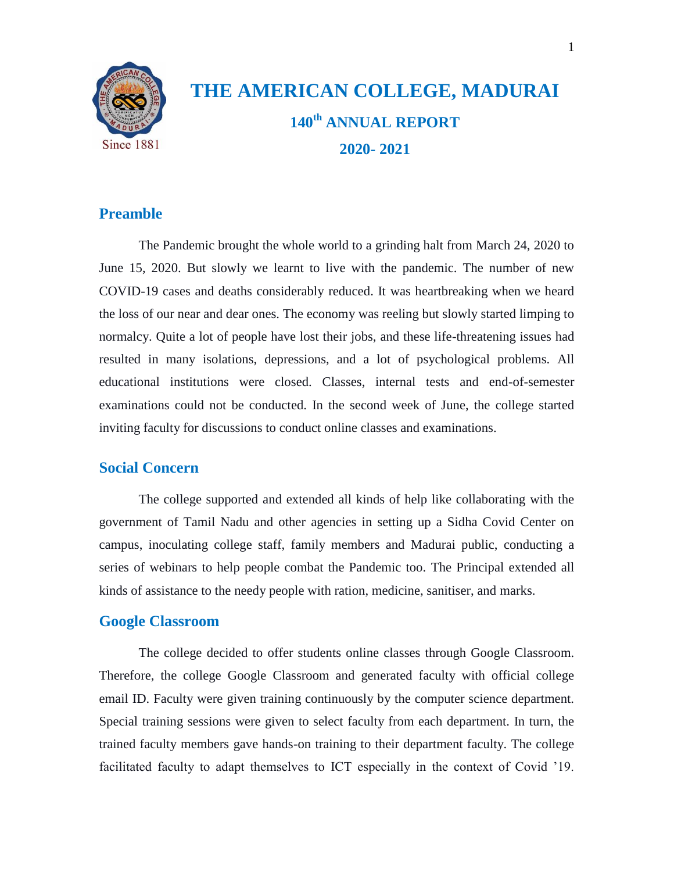

# **THE AMERICAN COLLEGE, MADURAI 140th ANNUAL REPORT 2020- 2021**

# **Preamble**

The Pandemic brought the whole world to a grinding halt from March 24, 2020 to June 15, 2020. But slowly we learnt to live with the pandemic. The number of new COVID-19 cases and deaths considerably reduced. It was heartbreaking when we heard the loss of our near and dear ones. The economy was reeling but slowly started limping to normalcy. Quite a lot of people have lost their jobs, and these life-threatening issues had resulted in many isolations, depressions, and a lot of psychological problems. All educational institutions were closed. Classes, internal tests and end-of-semester examinations could not be conducted. In the second week of June, the college started inviting faculty for discussions to conduct online classes and examinations.

# **Social Concern**

The college supported and extended all kinds of help like collaborating with the government of Tamil Nadu and other agencies in setting up a Sidha Covid Center on campus, inoculating college staff, family members and Madurai public, conducting a series of webinars to help people combat the Pandemic too. The Principal extended all kinds of assistance to the needy people with ration, medicine, sanitiser, and marks.

## **Google Classroom**

The college decided to offer students online classes through Google Classroom. Therefore, the college Google Classroom and generated faculty with official college email ID. Faculty were given training continuously by the computer science department. Special training sessions were given to select faculty from each department. In turn, the trained faculty members gave hands-on training to their department faculty. The college facilitated faculty to adapt themselves to ICT especially in the context of Covid "19.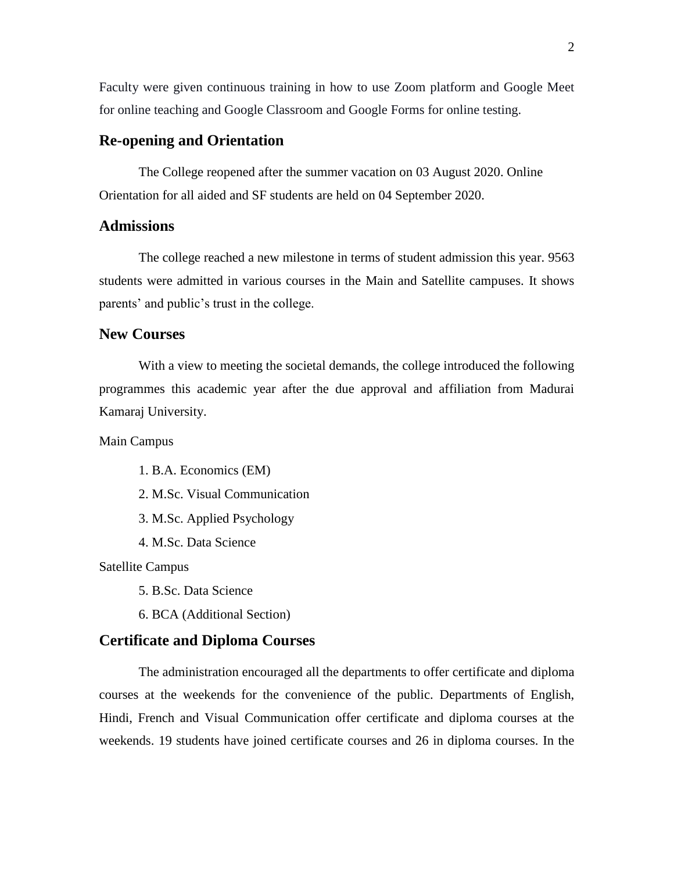Faculty were given continuous training in how to use Zoom platform and Google Meet for online teaching and Google Classroom and Google Forms for online testing.

# **Re-opening and Orientation**

The College reopened after the summer vacation on 03 August 2020. Online Orientation for all aided and SF students are held on 04 September 2020.

# **Admissions**

The college reached a new milestone in terms of student admission this year. 9563 students were admitted in various courses in the Main and Satellite campuses. It shows parents' and public's trust in the college.

# **New Courses**

With a view to meeting the societal demands, the college introduced the following programmes this academic year after the due approval and affiliation from Madurai Kamaraj University.

Main Campus

- 1. B.A. Economics (EM)
- 2. M.Sc. Visual Communication
- 3. M.Sc. Applied Psychology
- 4. M.Sc. Data Science

Satellite Campus

5. B.Sc. Data Science

6. BCA (Additional Section)

## **Certificate and Diploma Courses**

The administration encouraged all the departments to offer certificate and diploma courses at the weekends for the convenience of the public. Departments of English, Hindi, French and Visual Communication offer certificate and diploma courses at the weekends. 19 students have joined certificate courses and 26 in diploma courses. In the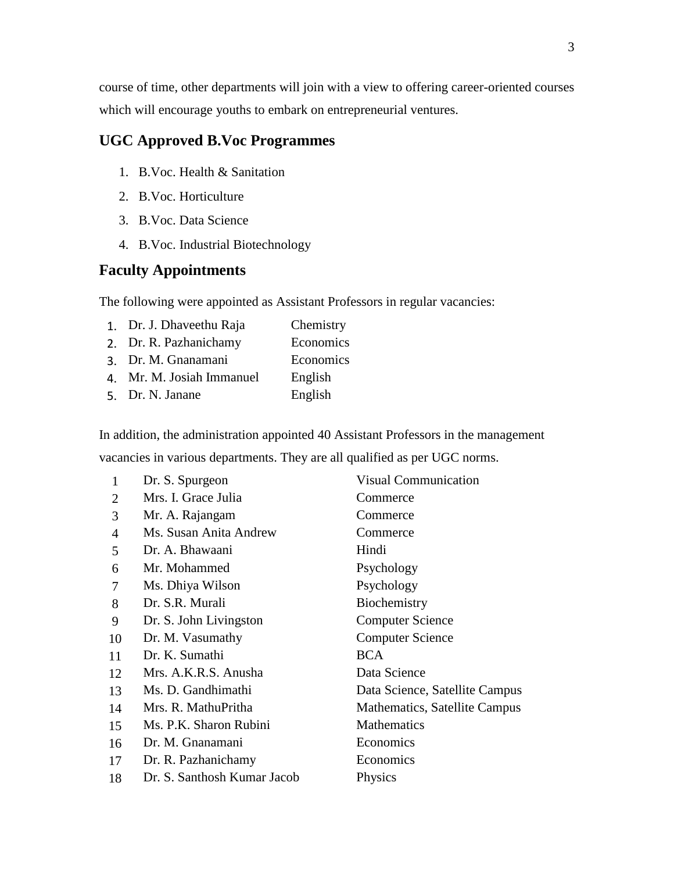course of time, other departments will join with a view to offering career-oriented courses which will encourage youths to embark on entrepreneurial ventures.

# **UGC Approved B.Voc Programmes**

- 1. B.Voc. Health & Sanitation
- 2. B.Voc. Horticulture
- 3. B.Voc. Data Science
- 4. B.Voc. Industrial Biotechnology

# **Faculty Appointments**

The following were appointed as Assistant Professors in regular vacancies:

- 1. Dr. J. Dhaveethu Raja Chemistry
- 2. Dr. R. Pazhanichamy Economics
- 3. Dr. M. Gnanamani Economics
- 4. Mr. M. Josiah Immanuel English
- 5. Dr. N. Janane English

In addition, the administration appointed 40 Assistant Professors in the management vacancies in various departments. They are all qualified as per UGC norms.

| 1              | Dr. S. Spurgeon             | <b>Visual Communication</b>    |
|----------------|-----------------------------|--------------------------------|
| 2              | Mrs. I. Grace Julia         | Commerce                       |
| 3              | Mr. A. Rajangam             | Commerce                       |
| $\overline{4}$ | Ms. Susan Anita Andrew      | Commerce                       |
| 5              | Dr. A. Bhawaani             | Hindi                          |
| 6              | Mr. Mohammed                | Psychology                     |
| 7              | Ms. Dhiya Wilson            | Psychology                     |
| 8              | Dr. S.R. Murali             | Biochemistry                   |
| 9              | Dr. S. John Livingston      | <b>Computer Science</b>        |
| 10             | Dr. M. Vasumathy            | <b>Computer Science</b>        |
| 11             | Dr. K. Sumathi              | <b>BCA</b>                     |
| 12             | Mrs. A.K.R.S. Anusha        | Data Science                   |
| 13             | Ms. D. Gandhimathi          | Data Science, Satellite Campus |
| 14             | Mrs. R. MathuPritha         | Mathematics, Satellite Campus  |
| 15             | Ms. P.K. Sharon Rubini      | Mathematics                    |
| 16             | Dr. M. Gnanamani            | Economics                      |
| 17             | Dr. R. Pazhanichamy         | Economics                      |
| 18             | Dr. S. Santhosh Kumar Jacob | Physics                        |
|                |                             |                                |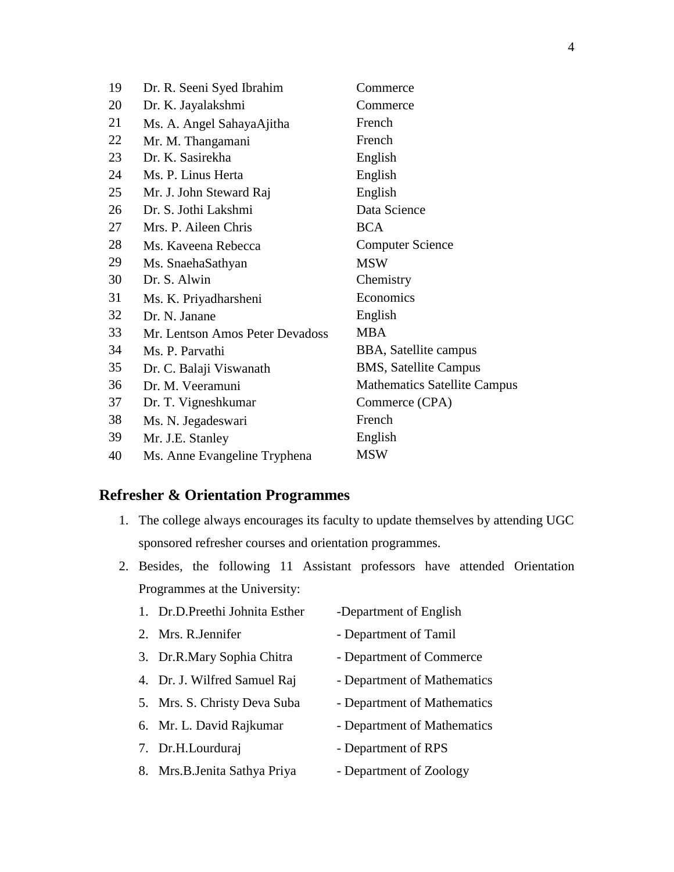| 19 | Dr. R. Seeni Syed Ibrahim       | Commerce                            |
|----|---------------------------------|-------------------------------------|
| 20 | Dr. K. Jayalakshmi              | Commerce                            |
| 21 | Ms. A. Angel SahayaAjitha       | French                              |
| 22 | Mr. M. Thangamani               | French                              |
| 23 | Dr. K. Sasirekha                | English                             |
| 24 | Ms. P. Linus Herta              | English                             |
| 25 | Mr. J. John Steward Raj         | English                             |
| 26 | Dr. S. Jothi Lakshmi            | Data Science                        |
| 27 | Mrs. P. Aileen Chris            | <b>BCA</b>                          |
| 28 | Ms. Kaveena Rebecca             | <b>Computer Science</b>             |
| 29 | Ms. SnaehaSathyan               | <b>MSW</b>                          |
| 30 | Dr. S. Alwin                    | Chemistry                           |
| 31 | Ms. K. Priyadharsheni           | Economics                           |
| 32 | Dr. N. Janane                   | English                             |
| 33 | Mr. Lentson Amos Peter Devadoss | <b>MBA</b>                          |
| 34 | Ms. P. Parvathi                 | BBA, Satellite campus               |
| 35 | Dr. C. Balaji Viswanath         | <b>BMS, Satellite Campus</b>        |
| 36 | Dr. M. Veeramuni                | <b>Mathematics Satellite Campus</b> |
| 37 | Dr. T. Vigneshkumar             | Commerce (CPA)                      |
| 38 | Ms. N. Jegadeswari              | French                              |
| 39 | Mr. J.E. Stanley                | English                             |
| 40 | Ms. Anne Evangeline Tryphena    | <b>MSW</b>                          |

# **Refresher & Orientation Programmes**

- 1. The college always encourages its faculty to update themselves by attending UGC sponsored refresher courses and orientation programmes.
- 2. Besides, the following 11 Assistant professors have attended Orientation Programmes at the University:
	- 1. Dr.D.Preethi Johnita Esther -Department of English
	-
	- 3. Dr.R.Mary Sophia Chitra Department of Commerce
	- 4. Dr. J. Wilfred Samuel Raj Department of Mathematics
	-
	- 6. Mr. L. David Rajkumar Department of Mathematics
	-
	- 8. Mrs.B.Jenita Sathya Priya Department of Zoology
- 
- 2. Mrs. R.Jennifer Department of Tamil
	-
	-
- 5. Mrs. S. Christy Deva Suba Department of Mathematics
	-
- 7. Dr.H.Lourduraj Department of RPS
	-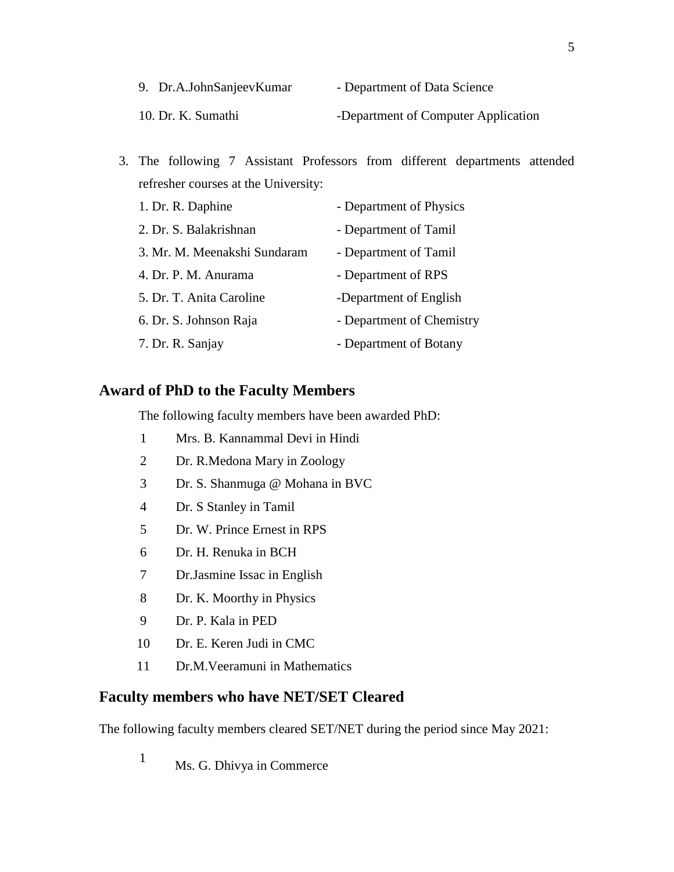| 9. Dr.A.JohnSanjeevKumar | - Department of Data Science        |
|--------------------------|-------------------------------------|
| 10. Dr. K. Sumathi       | -Department of Computer Application |

3. The following 7 Assistant Professors from different departments attended refresher courses at the University:

| 1. Dr. R. Daphine            | - Department of Physics   |
|------------------------------|---------------------------|
| 2. Dr. S. Balakrishnan       | - Department of Tamil     |
| 3. Mr. M. Meenakshi Sundaram | - Department of Tamil     |
| 4. Dr. P. M. Anurama         | - Department of RPS       |
| 5. Dr. T. Anita Caroline     | -Department of English    |
| 6. Dr. S. Johnson Raja       | - Department of Chemistry |
| 7. Dr. R. Sanjay             | - Department of Botany    |

# **Award of PhD to the Faculty Members**

The following faculty members have been awarded PhD:

- 1 Mrs. B. Kannammal Devi in Hindi
- 2 Dr. R.Medona Mary in Zoology
- 3 Dr. S. Shanmuga @ Mohana in BVC
- 4 Dr. S Stanley in Tamil
- 5 Dr. W. Prince Ernest in RPS
- 6 Dr. H. Renuka in BCH
- 7 Dr.Jasmine Issac in English
- 8 Dr. K. Moorthy in Physics
- 9 Dr. P. Kala in PED
- 10 Dr. E. Keren Judi in CMC
- 11 Dr.M.Veeramuni in Mathematics

# **Faculty members who have NET/SET Cleared**

The following faculty members cleared SET/NET during the period since May 2021:

<sup>1</sup> Ms. G. Dhivya in Commerce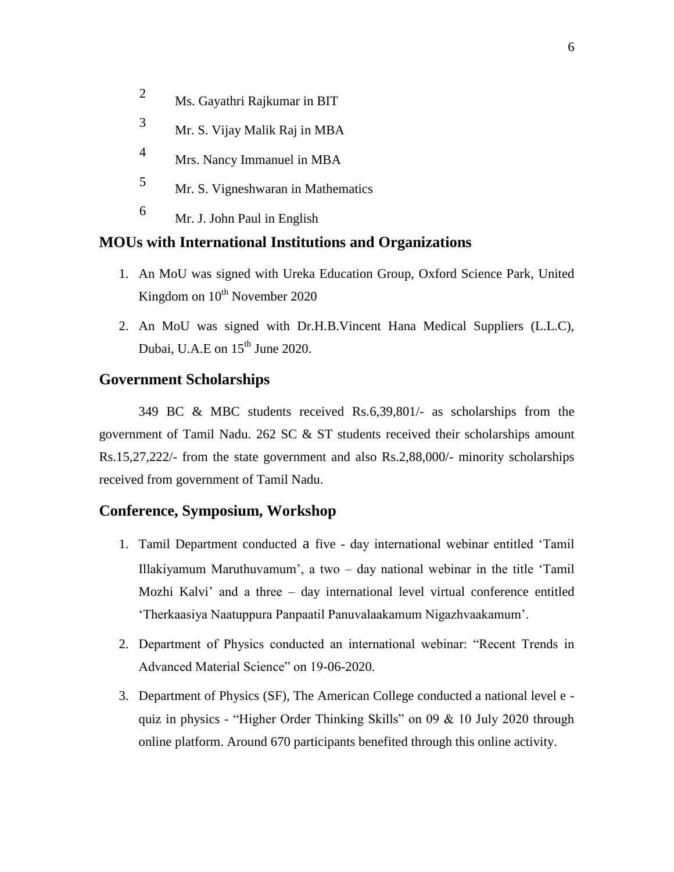- <sup>2</sup> Ms. Gayathri Rajkumar in BIT
- <sup>3</sup> Mr. S. Vijay Malik Raj in MBA
- <sup>4</sup> Mrs. Nancy Immanuel in MBA
- <sup>5</sup> Mr. S. Vigneshwaran in Mathematics
- <sup>6</sup> Mr. J. John Paul in English

## **MOUs with International Institutions and Organizations**

- 1. An MoU was signed with Ureka Education Group, Oxford Science Park, United Kingdom on  $10^{th}$  November 2020
- 2. An MoU was signed with Dr.H.B.Vincent Hana Medical Suppliers (L.L.C), Dubai, U.A.E on  $15<sup>th</sup>$  June 2020.

### **Government Scholarships**

349 BC & MBC students received Rs.6,39,801/- as scholarships from the government of Tamil Nadu. 262 SC & ST students received their scholarships amount Rs.15,27,222/- from the state government and also Rs.2,88,000/- minority scholarships received from government of Tamil Nadu.

## **Conference, Symposium, Workshop**

- 1. Tamil Department conducted a five day international webinar entitled "Tamil Illakiyamum Maruthuvamum", a two – day national webinar in the title "Tamil Mozhi Kalvi" and a three – day international level virtual conference entitled "Therkaasiya Naatuppura Panpaatil Panuvalaakamum Nigazhvaakamum".
- 2. Department of Physics conducted an international webinar: "Recent Trends in Advanced Material Science" on 19-06-2020.
- 3. Department of Physics (SF), The American College conducted a national level e quiz in physics - "Higher Order Thinking Skills" on 09 & 10 July 2020 through online platform. Around 670 participants benefited through this online activity.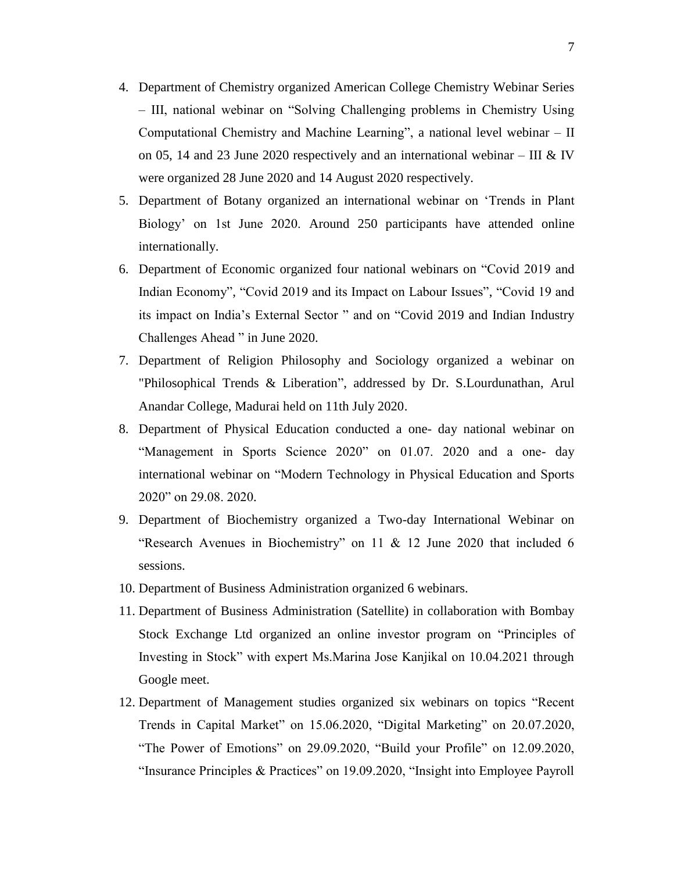- 4. Department of Chemistry organized American College Chemistry Webinar Series – III, national webinar on "Solving Challenging problems in Chemistry Using Computational Chemistry and Machine Learning", a national level webinar – II on 05, 14 and 23 June 2020 respectively and an international webinar – III & IV were organized 28 June 2020 and 14 August 2020 respectively.
- 5. Department of Botany organized an international webinar on "Trends in Plant Biology" on 1st June 2020. Around 250 participants have attended online internationally.
- 6. Department of Economic organized four national webinars on "Covid 2019 and Indian Economy", "Covid 2019 and its Impact on Labour Issues", "Covid 19 and its impact on India"s External Sector " and on "Covid 2019 and Indian Industry Challenges Ahead " in June 2020.
- 7. Department of Religion Philosophy and Sociology organized a webinar on "Philosophical Trends & Liberation", addressed by Dr. S.Lourdunathan, Arul Anandar College, Madurai held on 11th July 2020.
- 8. Department of Physical Education conducted a one- day national webinar on "Management in Sports Science 2020" on 01.07. 2020 and a one- day international webinar on "Modern Technology in Physical Education and Sports 2020" on 29.08. 2020.
- 9. Department of Biochemistry organized a Two-day International Webinar on "Research Avenues in Biochemistry" on 11 & 12 June 2020 that included 6 sessions.
- 10. Department of Business Administration organized 6 webinars.
- 11. Department of Business Administration (Satellite) in collaboration with Bombay Stock Exchange Ltd organized an online investor program on "Principles of Investing in Stock" with expert Ms.Marina Jose Kanjikal on 10.04.2021 through Google meet.
- 12. Department of Management studies organized six webinars on topics "Recent Trends in Capital Market" on 15.06.2020, "Digital Marketing" on 20.07.2020, "The Power of Emotions" on 29.09.2020, "Build your Profile" on 12.09.2020, "Insurance Principles & Practices" on 19.09.2020, "Insight into Employee Payroll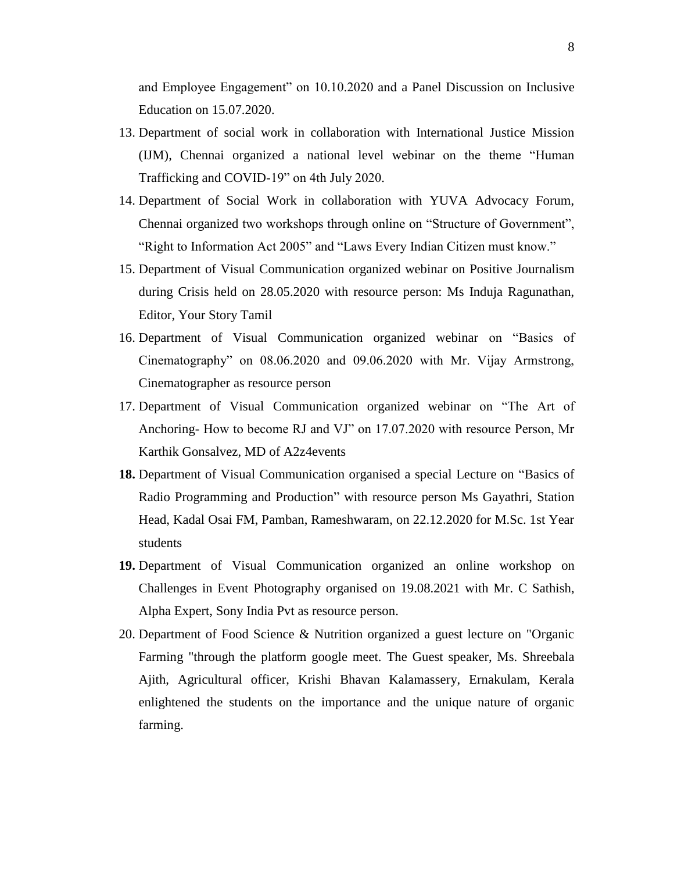and Employee Engagement" on 10.10.2020 and a Panel Discussion on Inclusive Education on 15.07.2020.

- 13. Department of social work in collaboration with International Justice Mission (IJM), Chennai organized a national level webinar on the theme "Human Trafficking and COVID-19" on 4th July 2020.
- 14. Department of Social Work in collaboration with YUVA Advocacy Forum, Chennai organized two workshops through online on "Structure of Government", "Right to Information Act 2005" and "Laws Every Indian Citizen must know."
- 15. Department of Visual Communication organized webinar on Positive Journalism during Crisis held on 28.05.2020 with resource person: Ms Induja Ragunathan, Editor, Your Story Tamil
- 16. Department of Visual Communication organized webinar on "Basics of Cinematography" on 08.06.2020 and 09.06.2020 with Mr. Vijay Armstrong, Cinematographer as resource person
- 17. Department of Visual Communication organized webinar on "The Art of Anchoring- How to become RJ and VJ" on 17.07.2020 with resource Person, Mr Karthik Gonsalvez, MD of A2z4events
- **18.** Department of Visual Communication organised a special Lecture on "Basics of Radio Programming and Production" with resource person Ms Gayathri, Station Head, Kadal Osai FM, Pamban, Rameshwaram, on 22.12.2020 for M.Sc. 1st Year students
- **19.** Department of Visual Communication organized an online workshop on Challenges in Event Photography organised on 19.08.2021 with Mr. C Sathish, Alpha Expert, Sony India Pvt as resource person.
- 20. Department of Food Science & Nutrition organized a guest lecture on "Organic Farming "through the platform google meet. The Guest speaker, Ms. Shreebala Ajith, Agricultural officer, Krishi Bhavan Kalamassery, Ernakulam, Kerala enlightened the students on the importance and the unique nature of organic farming.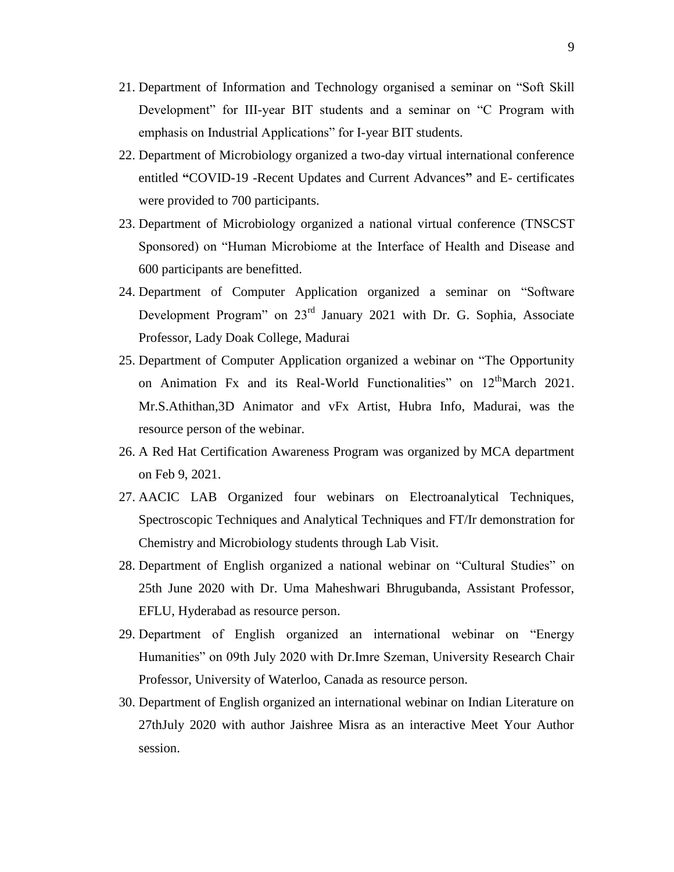- 21. Department of Information and Technology organised a seminar on "Soft Skill Development" for III-year BIT students and a seminar on "C Program with emphasis on Industrial Applications" for I-year BIT students.
- 22. Department of Microbiology organized a two-day virtual international conference entitled **"**COVID-19 -Recent Updates and Current Advances**"** and E- certificates were provided to 700 participants.
- 23. Department of Microbiology organized a national virtual conference (TNSCST Sponsored) on "Human Microbiome at the Interface of Health and Disease and 600 participants are benefitted.
- 24. Department of Computer Application organized a seminar on "Software Development Program" on 23rd January 2021 with Dr. G. Sophia, Associate Professor, Lady Doak College, Madurai
- 25. Department of Computer Application organized a webinar on "The Opportunity on Animation Fx and its Real-World Functionalities" on  $12<sup>th</sup>$ March 2021. Mr.S.Athithan,3D Animator and vFx Artist, Hubra Info, Madurai, was the resource person of the webinar.
- 26. A Red Hat Certification Awareness Program was organized by MCA department on Feb 9, 2021.
- 27. AACIC LAB Organized four webinars on Electroanalytical Techniques, Spectroscopic Techniques and Analytical Techniques and FT/Ir demonstration for Chemistry and Microbiology students through Lab Visit.
- 28. Department of English organized a national webinar on "Cultural Studies" on 25th June 2020 with Dr. Uma Maheshwari Bhrugubanda, Assistant Professor, EFLU, Hyderabad as resource person.
- 29. Department of English organized an international webinar on "Energy Humanities" on 09th July 2020 with Dr.Imre Szeman, University Research Chair Professor, University of Waterloo, Canada as resource person.
- 30. Department of English organized an international webinar on Indian Literature on 27thJuly 2020 with author Jaishree Misra as an interactive Meet Your Author session.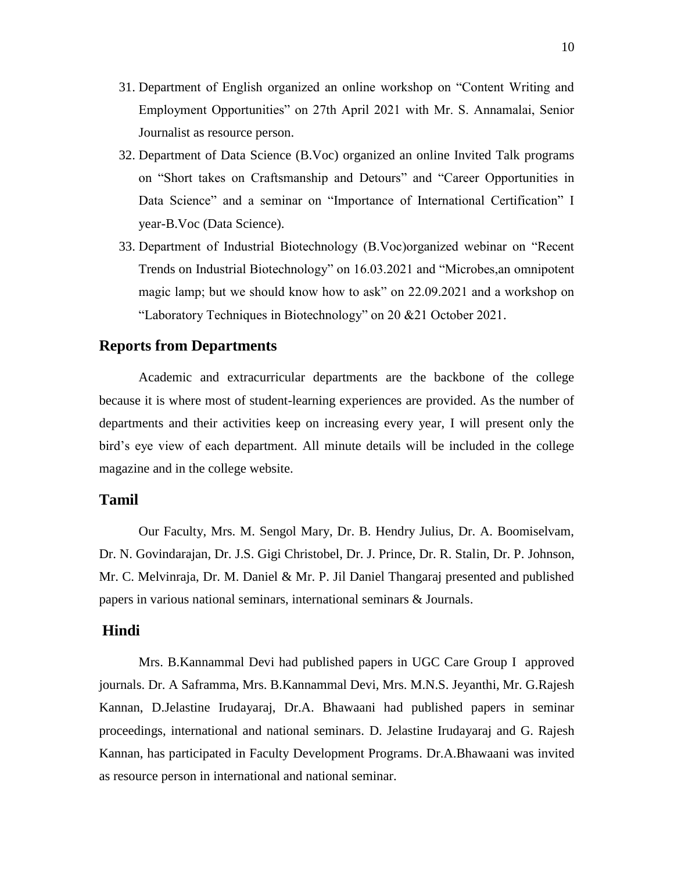- 31. Department of English organized an online workshop on "Content Writing and Employment Opportunities" on 27th April 2021 with Mr. S. Annamalai, Senior Journalist as resource person.
- 32. Department of Data Science (B.Voc) organized an online Invited Talk programs on "Short takes on Craftsmanship and Detours" and "Career Opportunities in Data Science" and a seminar on "Importance of International Certification" I year-B.Voc (Data Science).
- 33. Department of Industrial Biotechnology (B.Voc)organized webinar on "Recent Trends on Industrial Biotechnology" on 16.03.2021 and "Microbes,an omnipotent magic lamp; but we should know how to ask" on 22.09.2021 and a workshop on "Laboratory Techniques in Biotechnology" on 20 &21 October 2021.

## **Reports from Departments**

Academic and extracurricular departments are the backbone of the college because it is where most of student-learning experiences are provided. As the number of departments and their activities keep on increasing every year, I will present only the bird"s eye view of each department. All minute details will be included in the college magazine and in the college website.

## **Tamil**

Our Faculty, Mrs. M. Sengol Mary, Dr. B. Hendry Julius, Dr. A. Boomiselvam, Dr. N. Govindarajan, Dr. J.S. Gigi Christobel, Dr. J. Prince, Dr. R. Stalin, Dr. P. Johnson, Mr. C. Melvinraja, Dr. M. Daniel & Mr. P. Jil Daniel Thangaraj presented and published papers in various national seminars, international seminars & Journals.

#### **Hindi**

Mrs. B.Kannammal Devi had published papers in UGC Care Group I approved journals. Dr. A Saframma, Mrs. B.Kannammal Devi, Mrs. M.N.S. Jeyanthi, Mr. G.Rajesh Kannan, D.Jelastine Irudayaraj, Dr.A. Bhawaani had published papers in seminar proceedings, international and national seminars. D. Jelastine Irudayaraj and G. Rajesh Kannan, has participated in Faculty Development Programs. Dr.A.Bhawaani was invited as resource person in international and national seminar.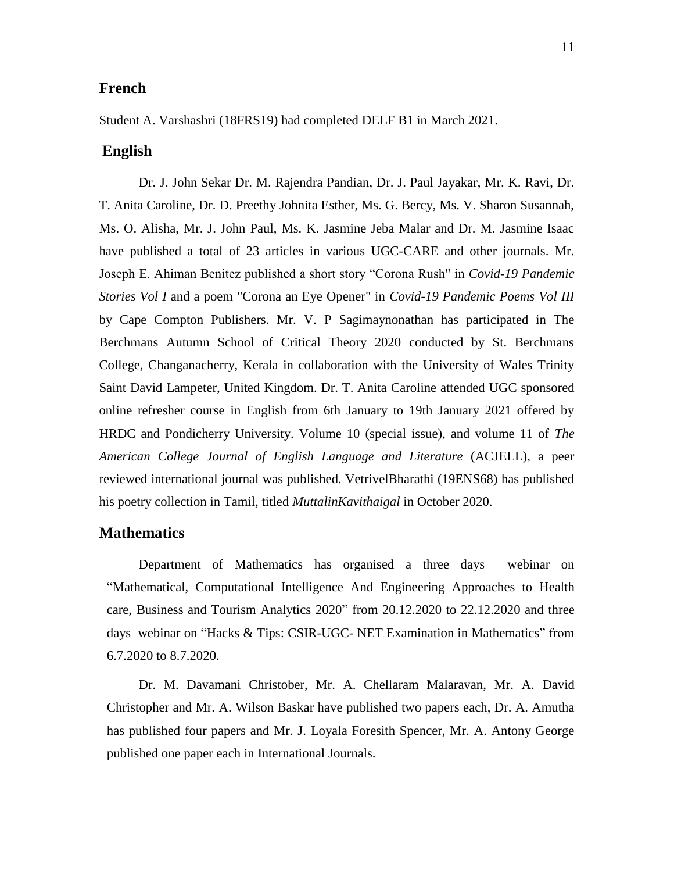# **French**

Student A. Varshashri (18FRS19) had completed DELF B1 in March 2021.

# **English**

Dr. J. John Sekar Dr. M. Rajendra Pandian, Dr. J. Paul Jayakar, Mr. K. Ravi, Dr. T. Anita Caroline, Dr. D. Preethy Johnita Esther, Ms. G. Bercy, Ms. V. Sharon Susannah, Ms. O. Alisha, Mr. J. John Paul, Ms. K. Jasmine Jeba Malar and Dr. M. Jasmine Isaac have published a total of 23 articles in various UGC-CARE and other journals. Mr. Joseph E. Ahiman Benitez published a short story "Corona Rush" in *Covid-19 Pandemic Stories Vol I* and a poem "Corona an Eye Opener" in *Covid-19 Pandemic Poems Vol III* by Cape Compton Publishers. Mr. V. P Sagimaynonathan has participated in The Berchmans Autumn School of Critical Theory 2020 conducted by St. Berchmans College, Changanacherry, Kerala in collaboration with the University of Wales Trinity Saint David Lampeter, United Kingdom. Dr. T. Anita Caroline attended UGC sponsored online refresher course in English from 6th January to 19th January 2021 offered by HRDC and Pondicherry University. Volume 10 (special issue), and volume 11 of *The American College Journal of English Language and Literature* (ACJELL), a peer reviewed international journal was published. VetrivelBharathi (19ENS68) has published his poetry collection in Tamil, titled *MuttalinKavithaigal* in October 2020.

#### **Mathematics**

Department of Mathematics has organised a three days webinar on "Mathematical, Computational Intelligence And Engineering Approaches to Health care, Business and Tourism Analytics 2020" from 20.12.2020 to 22.12.2020 and three days webinar on "Hacks & Tips: CSIR-UGC- NET Examination in Mathematics" from 6.7.2020 to 8.7.2020.

Dr. M. Davamani Christober, Mr. A. Chellaram Malaravan, Mr. A. David Christopher and Mr. A. Wilson Baskar have published two papers each, Dr. A. Amutha has published four papers and Mr. J. Loyala Foresith Spencer, Mr. A. Antony George published one paper each in International Journals.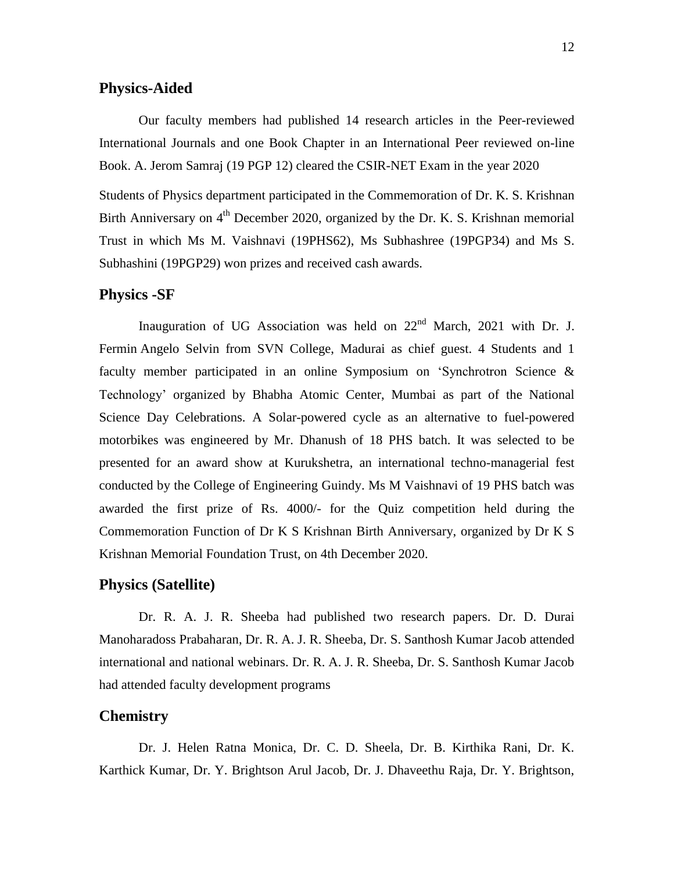## **Physics-Aided**

Our faculty members had published 14 research articles in the Peer-reviewed International Journals and one Book Chapter in an International Peer reviewed on-line Book. A. Jerom Samraj (19 PGP 12) cleared the CSIR-NET Exam in the year 2020

Students of Physics department participated in the Commemoration of Dr. K. S. Krishnan Birth Anniversary on 4<sup>th</sup> December 2020, organized by the Dr. K. S. Krishnan memorial Trust in which Ms M. Vaishnavi (19PHS62), Ms Subhashree (19PGP34) and Ms S. Subhashini (19PGP29) won prizes and received cash awards.

#### **Physics -SF**

Inauguration of UG Association was held on  $22<sup>nd</sup>$  March, 2021 with Dr. J. Fermin Angelo Selvin from SVN College, Madurai as chief guest. 4 Students and 1 faculty member participated in an online Symposium on "Synchrotron Science & Technology" organized by Bhabha Atomic Center, Mumbai as part of the National Science Day Celebrations. A Solar-powered cycle as an alternative to fuel-powered motorbikes was engineered by Mr. Dhanush of 18 PHS batch. It was selected to be presented for an award show at Kurukshetra, an international techno-managerial fest conducted by the College of Engineering Guindy. Ms M Vaishnavi of 19 PHS batch was awarded the first prize of Rs. 4000/- for the Quiz competition held during the Commemoration Function of Dr K S Krishnan Birth Anniversary, organized by Dr K S Krishnan Memorial Foundation Trust, on 4th December 2020.

### **Physics (Satellite)**

Dr. R. A. J. R. Sheeba had published two research papers. Dr. D. Durai Manoharadoss Prabaharan, Dr. R. A. J. R. Sheeba, Dr. S. Santhosh Kumar Jacob attended international and national webinars. Dr. R. A. J. R. Sheeba, Dr. S. Santhosh Kumar Jacob had attended faculty development programs

## **Chemistry**

Dr. J. Helen Ratna Monica, Dr. C. D. Sheela, Dr. B. Kirthika Rani, Dr. K. Karthick Kumar, Dr. Y. Brightson Arul Jacob, Dr. J. Dhaveethu Raja, Dr. Y. Brightson,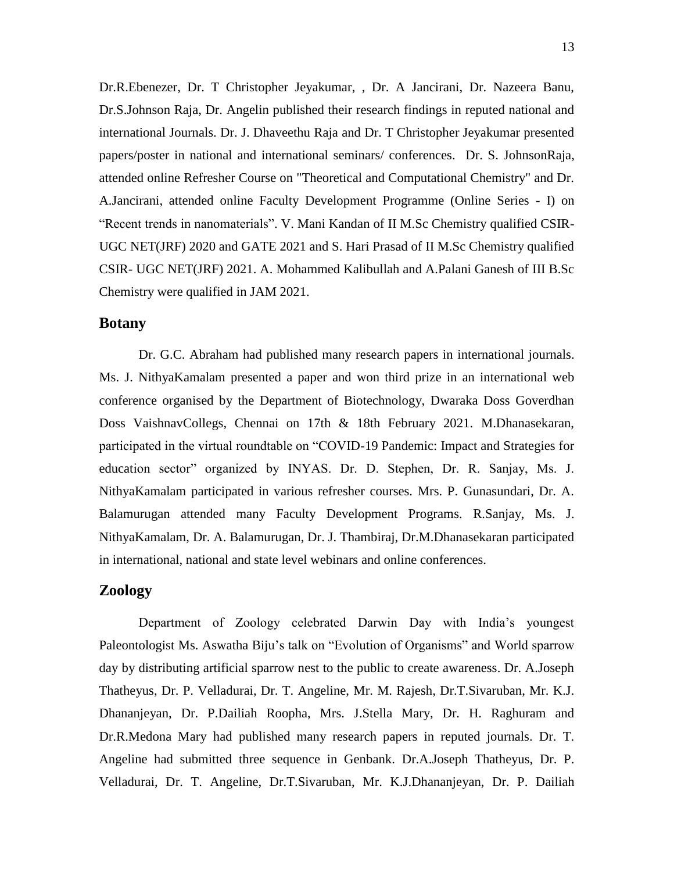Dr.R.Ebenezer, Dr. T Christopher Jeyakumar, , Dr. A Jancirani, Dr. Nazeera Banu, Dr.S.Johnson Raja, Dr. Angelin published their research findings in reputed national and international Journals. Dr. J. Dhaveethu Raja and Dr. T Christopher Jeyakumar presented papers/poster in national and international seminars/ conferences. Dr. S. JohnsonRaja, attended online Refresher Course on "Theoretical and Computational Chemistry" and Dr. A.Jancirani, attended online Faculty Development Programme (Online Series - I) on "Recent trends in nanomaterials". V. Mani Kandan of II M.Sc Chemistry qualified CSIR-UGC NET(JRF) 2020 and GATE 2021 and S. Hari Prasad of II M.Sc Chemistry qualified CSIR- UGC NET(JRF) 2021. A. Mohammed Kalibullah and A.Palani Ganesh of III B.Sc Chemistry were qualified in JAM 2021.

## **Botany**

Dr. G.C. Abraham had published many research papers in international journals. Ms. J. NithyaKamalam presented a paper and won third prize in an international web conference organised by the Department of Biotechnology, Dwaraka Doss Goverdhan Doss VaishnavCollegs, Chennai on 17th & 18th February 2021. M.Dhanasekaran, participated in the virtual roundtable on "COVID-19 Pandemic: Impact and Strategies for education sector" organized by INYAS. Dr. D. Stephen, Dr. R. Sanjay, Ms. J. NithyaKamalam participated in various refresher courses. Mrs. P. Gunasundari, Dr. A. Balamurugan attended many Faculty Development Programs. R.Sanjay, Ms. J. NithyaKamalam, Dr. A. Balamurugan, Dr. J. Thambiraj, Dr.M.Dhanasekaran participated in international, national and state level webinars and online conferences.

## **Zoology**

Department of Zoology celebrated Darwin Day with India"s youngest Paleontologist Ms. Aswatha Biju's talk on "Evolution of Organisms" and World sparrow day by distributing artificial sparrow nest to the public to create awareness. Dr. A.Joseph Thatheyus, Dr. P. Velladurai, Dr. T. Angeline, Mr. M. Rajesh, Dr.T.Sivaruban, Mr. K.J. Dhananjeyan, Dr. P.Dailiah Roopha, Mrs. J.Stella Mary, Dr. H. Raghuram and Dr.R.Medona Mary had published many research papers in reputed journals. Dr. T. Angeline had submitted three sequence in Genbank. Dr.A.Joseph Thatheyus, Dr. P. Velladurai, Dr. T. Angeline, Dr.T.Sivaruban, Mr. K.J.Dhananjeyan, Dr. P. Dailiah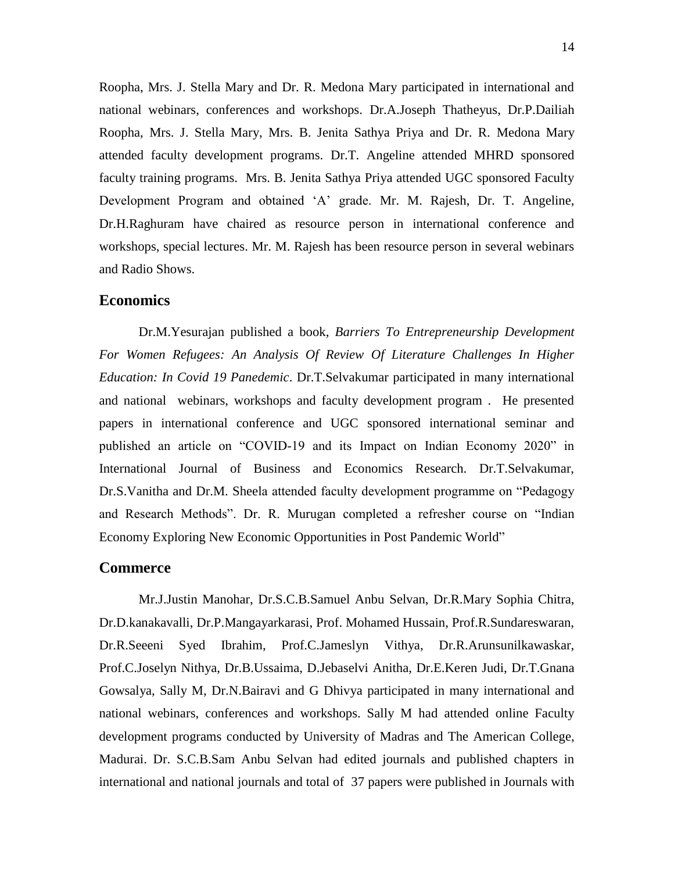Roopha, Mrs. J. Stella Mary and Dr. R. Medona Mary participated in international and national webinars, conferences and workshops. Dr.A.Joseph Thatheyus, Dr.P.Dailiah Roopha, Mrs. J. Stella Mary, Mrs. B. Jenita Sathya Priya and Dr. R. Medona Mary attended faculty development programs. Dr.T. Angeline attended MHRD sponsored faculty training programs. Mrs. B. Jenita Sathya Priya attended UGC sponsored Faculty Development Program and obtained "A" grade. Mr. M. Rajesh, Dr. T. Angeline, Dr.H.Raghuram have chaired as resource person in international conference and workshops, special lectures. Mr. M. Rajesh has been resource person in several webinars and Radio Shows.

#### **Economics**

Dr.M.Yesurajan published a book, *Barriers To Entrepreneurship Development For Women Refugees: An Analysis Of Review Of Literature Challenges In Higher Education: In Covid 19 Panedemic*. Dr.T.Selvakumar participated in many international and national webinars, workshops and faculty development program . He presented papers in international conference and UGC sponsored international seminar and published an article on "COVID-19 and its Impact on Indian Economy 2020" in International Journal of Business and Economics Research. Dr.T.Selvakumar, Dr.S.Vanitha and Dr.M. Sheela attended faculty development programme on "Pedagogy and Research Methods". Dr. R. Murugan completed a refresher course on "Indian Economy Exploring New Economic Opportunities in Post Pandemic World"

#### **Commerce**

Mr.J.Justin Manohar, Dr.S.C.B.Samuel Anbu Selvan, Dr.R.Mary Sophia Chitra, Dr.D.kanakavalli, Dr.P.Mangayarkarasi, Prof. Mohamed Hussain, Prof.R.Sundareswaran, Dr.R.Seeeni Syed Ibrahim, Prof.C.Jameslyn Vithya, Dr.R.Arunsunilkawaskar, Prof.C.Joselyn Nithya, Dr.B.Ussaima, D.Jebaselvi Anitha, Dr.E.Keren Judi, Dr.T.Gnana Gowsalya, Sally M, Dr.N.Bairavi and G Dhivya participated in many international and national webinars, conferences and workshops. Sally M had attended online Faculty development programs conducted by University of Madras and The American College, Madurai. Dr. S.C.B.Sam Anbu Selvan had edited journals and published chapters in international and national journals and total of 37 papers were published in Journals with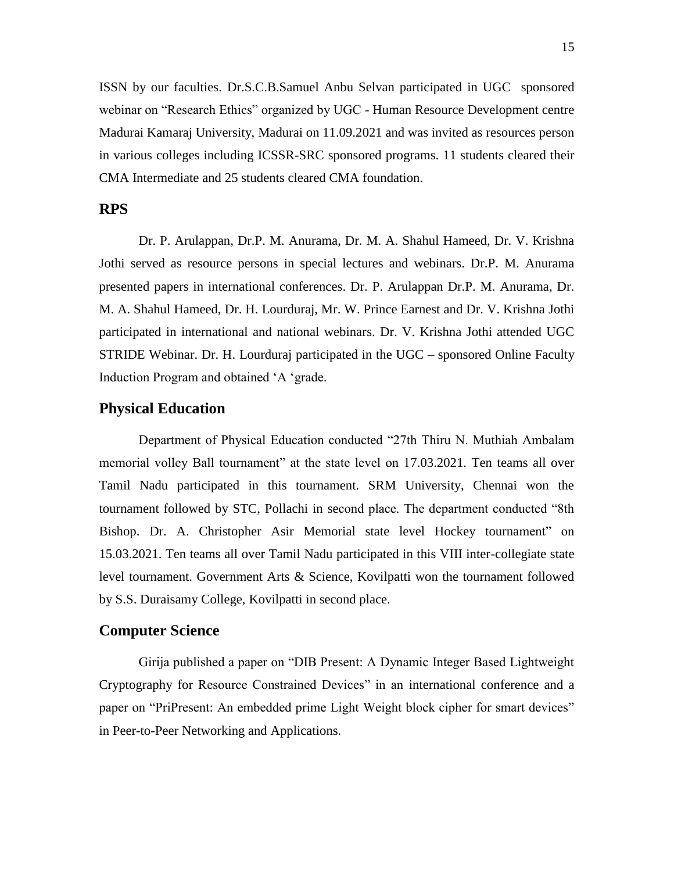ISSN by our faculties. Dr.S.C.B.Samuel Anbu Selvan participated in UGC sponsored webinar on "Research Ethics" organized by UGC - Human Resource Development centre Madurai Kamaraj University, Madurai on 11.09.2021 and was invited as resources person in various colleges including ICSSR-SRC sponsored programs. 11 students cleared their CMA Intermediate and 25 students cleared CMA foundation.

# **RPS**

Dr. P. Arulappan, Dr.P. M. Anurama, Dr. M. A. Shahul Hameed, Dr. V. Krishna Jothi served as resource persons in special lectures and webinars. Dr.P. M. Anurama presented papers in international conferences. Dr. P. Arulappan Dr.P. M. Anurama, Dr. M. A. Shahul Hameed, Dr. H. Lourduraj, Mr. W. Prince Earnest and Dr. V. Krishna Jothi participated in international and national webinars. Dr. V. Krishna Jothi attended UGC STRIDE Webinar. Dr. H. Lourduraj participated in the UGC – sponsored Online Faculty Induction Program and obtained "A "grade.

# **Physical Education**

Department of Physical Education conducted "27th Thiru N. Muthiah Ambalam memorial volley Ball tournament" at the state level on 17.03.2021. Ten teams all over Tamil Nadu participated in this tournament. SRM University, Chennai won the tournament followed by STC, Pollachi in second place. The department conducted "8th Bishop. Dr. A. Christopher Asir Memorial state level Hockey tournament" on 15.03.2021. Ten teams all over Tamil Nadu participated in this VIII inter-collegiate state level tournament. Government Arts & Science, Kovilpatti won the tournament followed by S.S. Duraisamy College, Kovilpatti in second place.

#### **Computer Science**

Girija published a paper on "DIB Present: A Dynamic Integer Based Lightweight Cryptography for Resource Constrained Devices" in an international conference and a paper on "PriPresent: An embedded prime Light Weight block cipher for smart devices" in Peer-to-Peer Networking and Applications.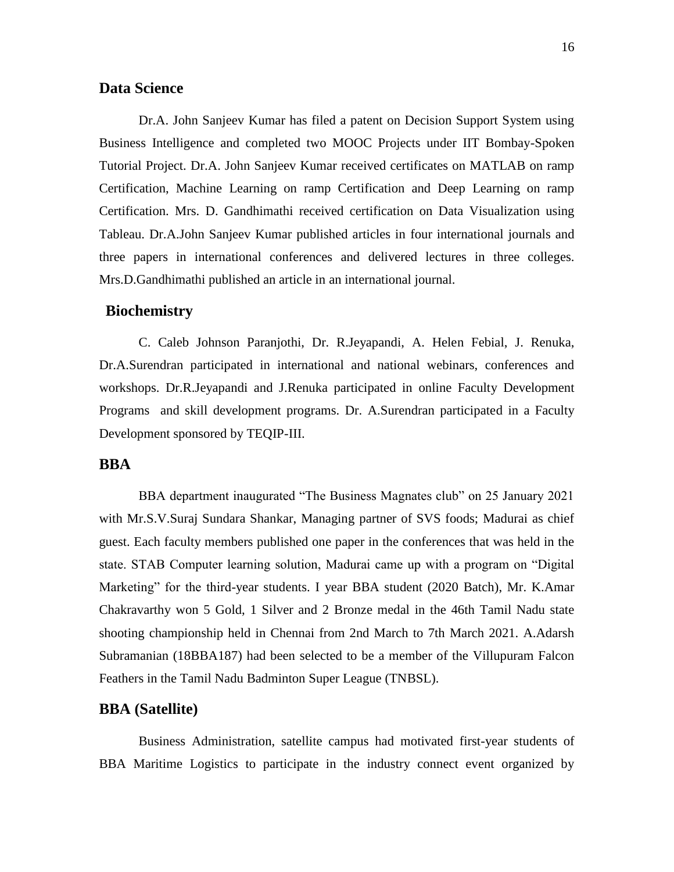## **Data Science**

Dr.A. John Sanjeev Kumar has filed a patent on Decision Support System using Business Intelligence and completed two MOOC Projects under IIT Bombay-Spoken Tutorial Project. Dr.A. John Sanjeev Kumar received certificates on MATLAB on ramp Certification, Machine Learning on ramp Certification and Deep Learning on ramp Certification. Mrs. D. Gandhimathi received certification on Data Visualization using Tableau. Dr.A.John Sanjeev Kumar published articles in four international journals and three papers in international conferences and delivered lectures in three colleges. Mrs.D.Gandhimathi published an article in an international journal.

# **Biochemistry**

C. Caleb Johnson Paranjothi, Dr. R.Jeyapandi, A. Helen Febial, J. Renuka, Dr.A.Surendran participated in international and national webinars, conferences and workshops. Dr.R.Jeyapandi and J.Renuka participated in online Faculty Development Programs and skill development programs. Dr. A.Surendran participated in a Faculty Development sponsored by TEQIP-III.

#### **BBA**

BBA department inaugurated "The Business Magnates club" on 25 January 2021 with Mr.S.V.Suraj Sundara Shankar, Managing partner of SVS foods; Madurai as chief guest. Each faculty members published one paper in the conferences that was held in the state. STAB Computer learning solution, Madurai came up with a program on "Digital Marketing" for the third-year students. I year BBA student (2020 Batch), Mr. K.Amar Chakravarthy won 5 Gold, 1 Silver and 2 Bronze medal in the 46th Tamil Nadu state shooting championship held in Chennai from 2nd March to 7th March 2021. A.Adarsh Subramanian (18BBA187) had been selected to be a member of the Villupuram Falcon Feathers in the Tamil Nadu Badminton Super League (TNBSL).

#### **BBA (Satellite)**

Business Administration, satellite campus had motivated first-year students of BBA Maritime Logistics to participate in the industry connect event organized by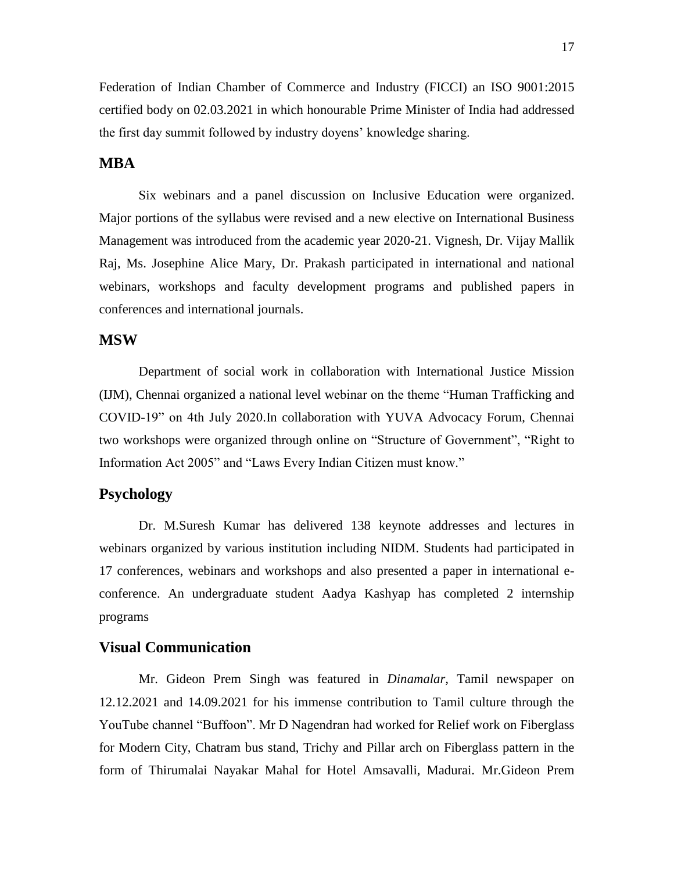Federation of Indian Chamber of Commerce and Industry (FICCI) an ISO 9001:2015 certified body on 02.03.2021 in which honourable Prime Minister of India had addressed the first day summit followed by industry doyens" knowledge sharing.

# **MBA**

Six webinars and a panel discussion on Inclusive Education were organized. Major portions of the syllabus were revised and a new elective on International Business Management was introduced from the academic year 2020-21. Vignesh, Dr. Vijay Mallik Raj, Ms. Josephine Alice Mary, Dr. Prakash participated in international and national webinars, workshops and faculty development programs and published papers in conferences and international journals.

# **MSW**

Department of social work in collaboration with International Justice Mission (IJM), Chennai organized a national level webinar on the theme "Human Trafficking and COVID-19" on 4th July 2020.In collaboration with YUVA Advocacy Forum, Chennai two workshops were organized through online on "Structure of Government", "Right to Information Act 2005" and "Laws Every Indian Citizen must know."

# **Psychology**

Dr. M.Suresh Kumar has delivered 138 keynote addresses and lectures in webinars organized by various institution including NIDM. Students had participated in 17 conferences, webinars and workshops and also presented a paper in international econference. An undergraduate student Aadya Kashyap has completed 2 internship programs

#### **Visual Communication**

Mr. Gideon Prem Singh was featured in *Dinamalar,* Tamil newspaper on 12.12.2021 and 14.09.2021 for his immense contribution to Tamil culture through the YouTube channel "Buffoon". Mr D Nagendran had worked for Relief work on Fiberglass for Modern City, Chatram bus stand, Trichy and Pillar arch on Fiberglass pattern in the form of Thirumalai Nayakar Mahal for Hotel Amsavalli, Madurai. Mr.Gideon Prem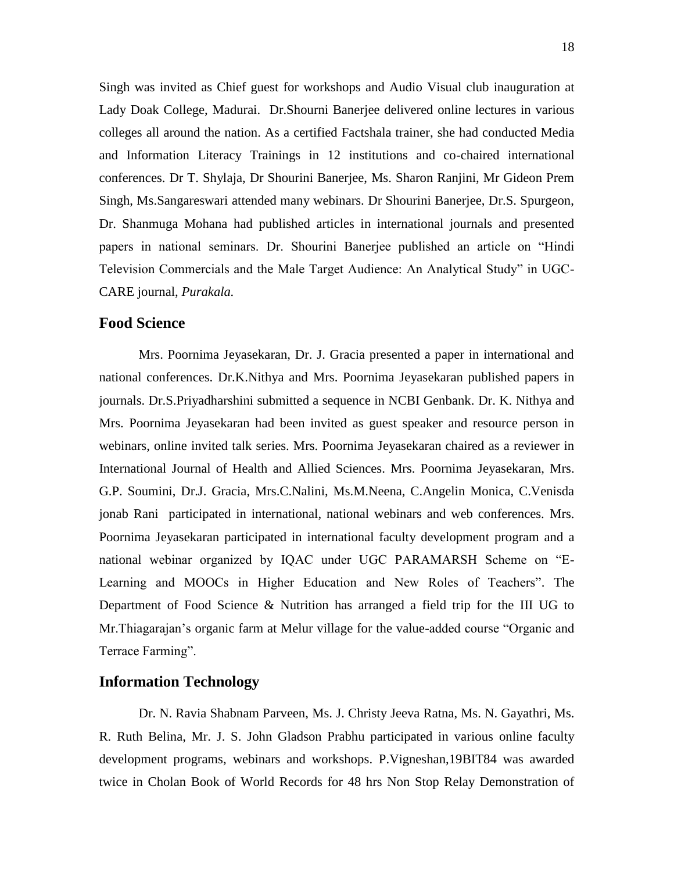Singh was invited as Chief guest for workshops and Audio Visual club inauguration at Lady Doak College, Madurai. Dr.Shourni Banerjee delivered online lectures in various colleges all around the nation. As a certified Factshala trainer, she had conducted Media and Information Literacy Trainings in 12 institutions and co-chaired international conferences. Dr T. Shylaja, Dr Shourini Banerjee, Ms. Sharon Ranjini, Mr Gideon Prem Singh, Ms.Sangareswari attended many webinars. Dr Shourini Banerjee, Dr.S. Spurgeon, Dr. Shanmuga Mohana had published articles in international journals and presented papers in national seminars. Dr. Shourini Banerjee published an article on "Hindi Television Commercials and the Male Target Audience: An Analytical Study" in UGC-CARE journal, *Purakala.*

#### **Food Science**

Mrs. Poornima Jeyasekaran, Dr. J. Gracia presented a paper in international and national conferences. Dr.K.Nithya and Mrs. Poornima Jeyasekaran published papers in journals. Dr.S.Priyadharshini submitted a sequence in NCBI Genbank. Dr. K. Nithya and Mrs. Poornima Jeyasekaran had been invited as guest speaker and resource person in webinars, online invited talk series. Mrs. Poornima Jeyasekaran chaired as a reviewer in International Journal of Health and Allied Sciences. Mrs. Poornima Jeyasekaran, Mrs. G.P. Soumini, Dr.J. Gracia, Mrs.C.Nalini, Ms.M.Neena, C.Angelin Monica, C.Venisda jonab Rani participated in international, national webinars and web conferences. Mrs. Poornima Jeyasekaran participated in international faculty development program and a national webinar organized by IQAC under UGC PARAMARSH Scheme on "E-Learning and MOOCs in Higher Education and New Roles of Teachers". The Department of Food Science & Nutrition has arranged a field trip for the III UG to Mr.Thiagarajan"s organic farm at Melur village for the value-added course "Organic and Terrace Farming".

#### **Information Technology**

Dr. N. Ravia Shabnam Parveen, Ms. J. Christy Jeeva Ratna, Ms. N. Gayathri, Ms. R. Ruth Belina, Mr. J. S. John Gladson Prabhu participated in various online faculty development programs, webinars and workshops. P.Vigneshan,19BIT84 was awarded twice in Cholan Book of World Records for 48 hrs Non Stop Relay Demonstration of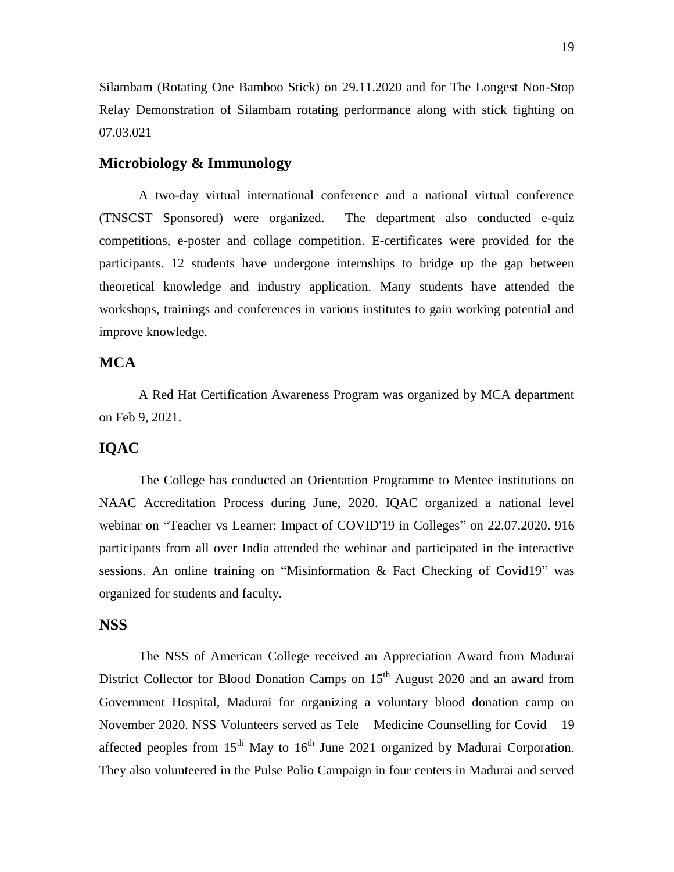Silambam (Rotating One Bamboo Stick) on 29.11.2020 and for The Longest Non-Stop Relay Demonstration of Silambam rotating performance along with stick fighting on 07.03.021

#### **Microbiology & Immunology**

A two-day virtual international conference and a national virtual conference (TNSCST Sponsored) were organized. The department also conducted e-quiz competitions, e-poster and collage competition. E-certificates were provided for the participants. 12 students have undergone internships to bridge up the gap between theoretical knowledge and industry application. Many students have attended the workshops, trainings and conferences in various institutes to gain working potential and improve knowledge.

# **MCA**

A Red Hat Certification Awareness Program was organized by MCA department on Feb 9, 2021.

# **IQAC**

The College has conducted an Orientation Programme to Mentee institutions on NAAC Accreditation Process during June, 2020. IQAC organized a national level webinar on "Teacher vs Learner: Impact of COVID'19 in Colleges" on 22.07.2020. 916 participants from all over India attended the webinar and participated in the interactive sessions. An online training on "Misinformation & Fact Checking of Covid19" was organized for students and faculty.

# **NSS**

The NSS of American College received an Appreciation Award from Madurai District Collector for Blood Donation Camps on  $15<sup>th</sup>$  August 2020 and an award from Government Hospital, Madurai for organizing a voluntary blood donation camp on November 2020. NSS Volunteers served as Tele – Medicine Counselling for Covid – 19 affected peoples from  $15<sup>th</sup>$  May to  $16<sup>th</sup>$  June 2021 organized by Madurai Corporation. They also volunteered in the Pulse Polio Campaign in four centers in Madurai and served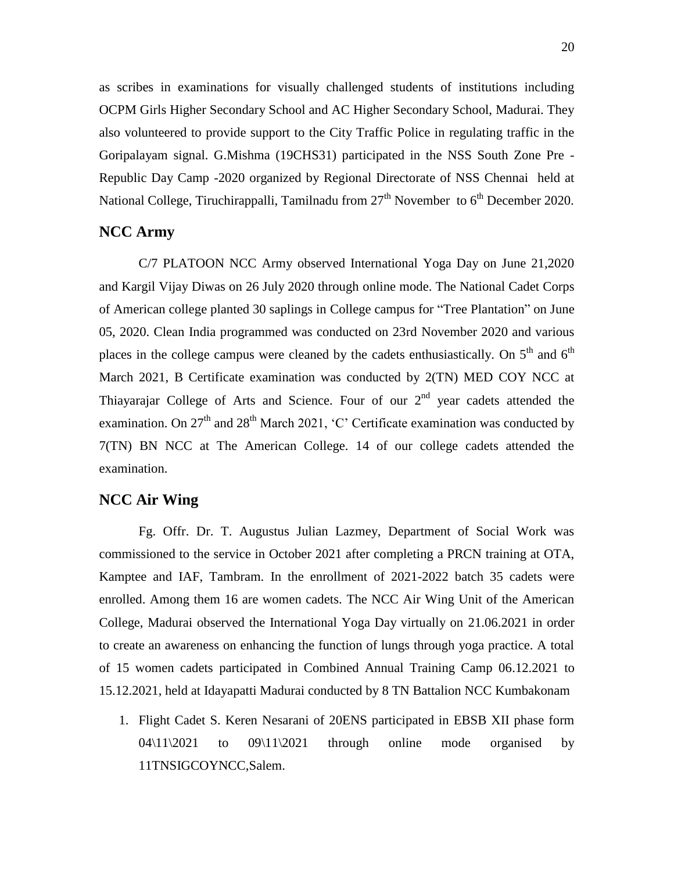as scribes in examinations for visually challenged students of institutions including OCPM Girls Higher Secondary School and AC Higher Secondary School, Madurai. They also volunteered to provide support to the City Traffic Police in regulating traffic in the Goripalayam signal. G.Mishma (19CHS31) participated in the NSS South Zone Pre - Republic Day Camp -2020 organized by Regional Directorate of NSS Chennai held at National College, Tiruchirappalli, Tamilnadu from  $27<sup>th</sup>$  November to  $6<sup>th</sup>$  December 2020.

## **NCC Army**

C/7 PLATOON NCC Army observed International Yoga Day on June 21,2020 and Kargil Vijay Diwas on 26 July 2020 through online mode. The National Cadet Corps of American college planted 30 saplings in College campus for "Tree Plantation" on June 05, 2020. Clean India programmed was conducted on 23rd November 2020 and various places in the college campus were cleaned by the cadets enthusiastically. On  $5<sup>th</sup>$  and  $6<sup>th</sup>$ March 2021, B Certificate examination was conducted by 2(TN) MED COY NCC at Thiayarajar College of Arts and Science. Four of our  $2<sup>nd</sup>$  year cadets attended the examination. On  $27<sup>th</sup>$  and  $28<sup>th</sup>$  March 2021, 'C' Certificate examination was conducted by 7(TN) BN NCC at The American College. 14 of our college cadets attended the examination.

## **NCC Air Wing**

Fg. Offr. Dr. T. Augustus Julian Lazmey, Department of Social Work was commissioned to the service in October 2021 after completing a PRCN training at OTA, Kamptee and IAF, Tambram. In the enrollment of 2021-2022 batch 35 cadets were enrolled. Among them 16 are women cadets. The NCC Air Wing Unit of the American College, Madurai observed the International Yoga Day virtually on 21.06.2021 in order to create an awareness on enhancing the function of lungs through yoga practice. A total of 15 women cadets participated in Combined Annual Training Camp 06.12.2021 to 15.12.2021, held at Idayapatti Madurai conducted by 8 TN Battalion NCC Kumbakonam

1. Flight Cadet S. Keren Nesarani of 20ENS participated in EBSB XII phase form  $04\frac{11}{2021}$  to  $09\frac{11}{2021}$  through online mode organised by 11TNSIGCOYNCC,Salem.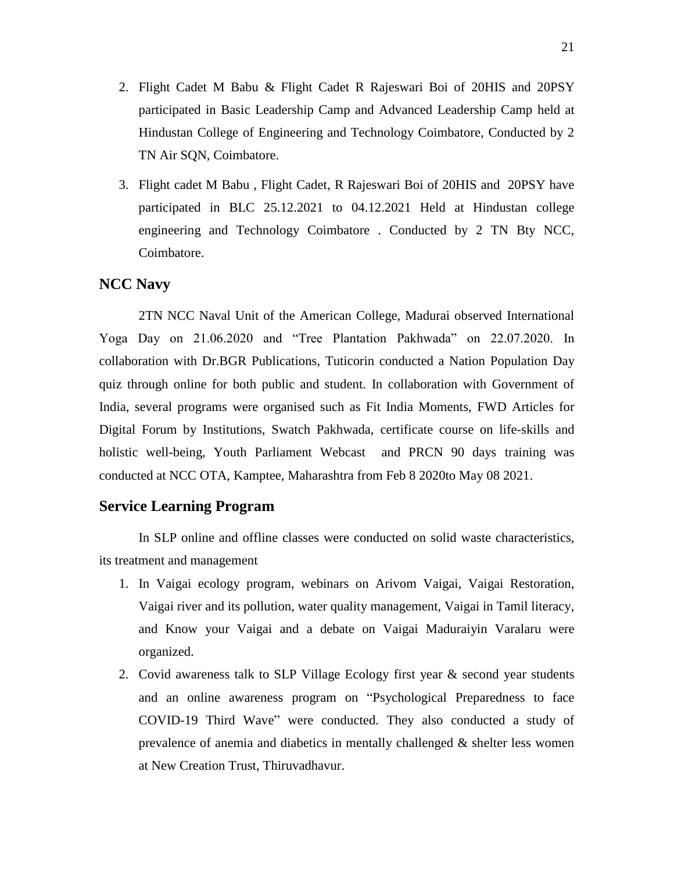- 2. Flight Cadet M Babu & Flight Cadet R Rajeswari Boi of 20HIS and 20PSY participated in Basic Leadership Camp and Advanced Leadership Camp held at Hindustan College of Engineering and Technology Coimbatore, Conducted by 2 TN Air SQN, Coimbatore.
- 3. Flight cadet M Babu , Flight Cadet, R Rajeswari Boi of 20HIS and 20PSY have participated in BLC 25.12.2021 to 04.12.2021 Held at Hindustan college engineering and Technology Coimbatore . Conducted by 2 TN Bty NCC, Coimbatore.

# **NCC Navy**

2TN NCC Naval Unit of the American College, Madurai observed International Yoga Day on 21.06.2020 and "Tree Plantation Pakhwada" on 22.07.2020. In collaboration with Dr.BGR Publications, Tuticorin conducted a Nation Population Day quiz through online for both public and student. In collaboration with Government of India, several programs were organised such as Fit India Moments, FWD Articles for Digital Forum by Institutions, Swatch Pakhwada, certificate course on life-skills and holistic well-being, Youth Parliament Webcast and PRCN 90 days training was conducted at NCC OTA, Kamptee, Maharashtra from Feb 8 2020to May 08 2021.

# **Service Learning Program**

In SLP online and offline classes were conducted on solid waste characteristics, its treatment and management

- 1. In Vaigai ecology program, webinars on Arivom Vaigai, Vaigai Restoration, Vaigai river and its pollution, water quality management, Vaigai in Tamil literacy, and Know your Vaigai and a debate on Vaigai Maduraiyin Varalaru were organized.
- 2. Covid awareness talk to SLP Village Ecology first year  $\&$  second year students and an online awareness program on "Psychological Preparedness to face COVID-19 Third Wave" were conducted. They also conducted a study of prevalence of anemia and diabetics in mentally challenged & shelter less women at New Creation Trust, Thiruvadhavur.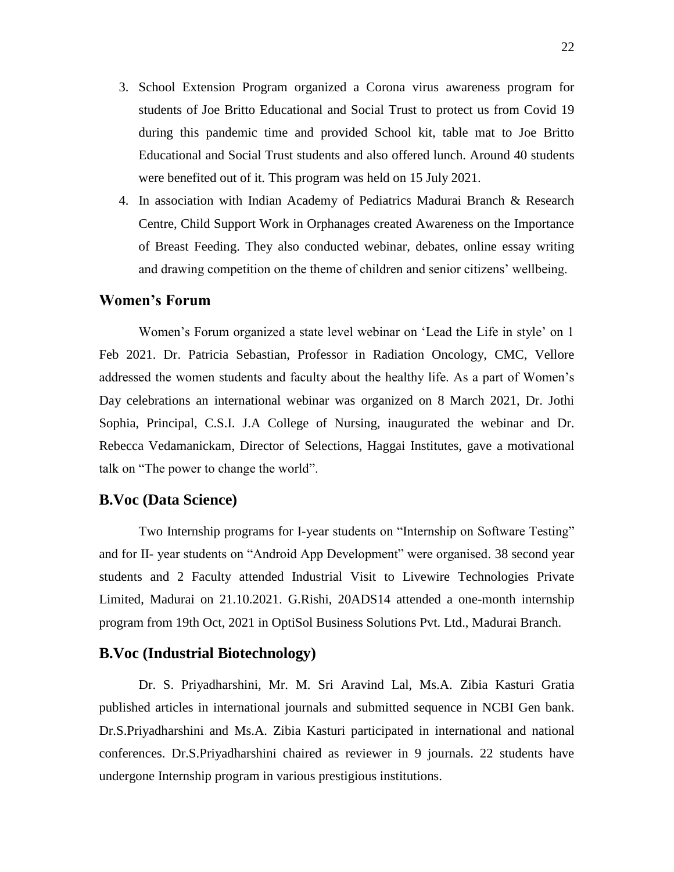- 3. School Extension Program organized a Corona virus awareness program for students of Joe Britto Educational and Social Trust to protect us from Covid 19 during this pandemic time and provided School kit, table mat to Joe Britto Educational and Social Trust students and also offered lunch. Around 40 students were benefited out of it. This program was held on 15 July 2021.
- 4. In association with Indian Academy of Pediatrics Madurai Branch & Research Centre, Child Support Work in Orphanages created Awareness on the Importance of Breast Feeding. They also conducted webinar, debates, online essay writing and drawing competition on the theme of children and senior citizens' wellbeing.

#### **Women's Forum**

Women"s Forum organized a state level webinar on "Lead the Life in style" on 1 Feb 2021. Dr. Patricia Sebastian, Professor in Radiation Oncology, CMC, Vellore addressed the women students and faculty about the healthy life. As a part of Women"s Day celebrations an international webinar was organized on 8 March 2021, Dr. Jothi Sophia, Principal, C.S.I. J.A College of Nursing, inaugurated the webinar and Dr. Rebecca Vedamanickam, Director of Selections, Haggai Institutes, gave a motivational talk on "The power to change the world".

#### **B.Voc (Data Science)**

Two Internship programs for I-year students on "Internship on Software Testing" and for II- year students on "Android App Development" were organised. 38 second year students and 2 Faculty attended Industrial Visit to Livewire Technologies Private Limited, Madurai on 21.10.2021. G.Rishi, 20ADS14 attended a one-month internship program from 19th Oct, 2021 in OptiSol Business Solutions Pvt. Ltd., Madurai Branch.

## **B.Voc (Industrial Biotechnology)**

Dr. S. Priyadharshini, Mr. M. Sri Aravind Lal, Ms.A. Zibia Kasturi Gratia published articles in international journals and submitted sequence in NCBI Gen bank. Dr.S.Priyadharshini and Ms.A. Zibia Kasturi participated in international and national conferences. Dr.S.Priyadharshini chaired as reviewer in 9 journals. 22 students have undergone Internship program in various prestigious institutions.